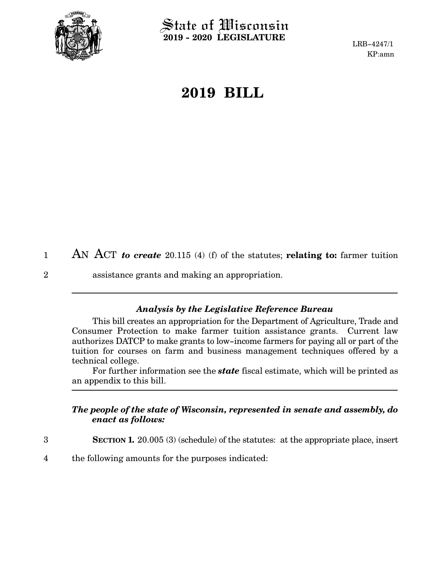

2

State of Wisconsin **2019 - 2020 LEGISLATURE**

LRB-4247/1 KP:amn

## **2019 BILL**

AN ACT *to create* 20.115 (4) (f) of the statutes; **relating to:** farmer tuition 1

assistance grants and making an appropriation.

## *Analysis by the Legislative Reference Bureau*

This bill creates an appropriation for the Department of Agriculture, Trade and Consumer Protection to make farmer tuition assistance grants. Current law authorizes DATCP to make grants to low-income farmers for paying all or part of the tuition for courses on farm and business management techniques offered by a technical college.

For further information see the *state* fiscal estimate, which will be printed as an appendix to this bill.

## *The people of the state of Wisconsin, represented in senate and assembly, do enact as follows:*

- **SECTION 1.** 20.005 (3) (schedule) of the statutes: at the appropriate place, insert 3
- the following amounts for the purposes indicated: 4